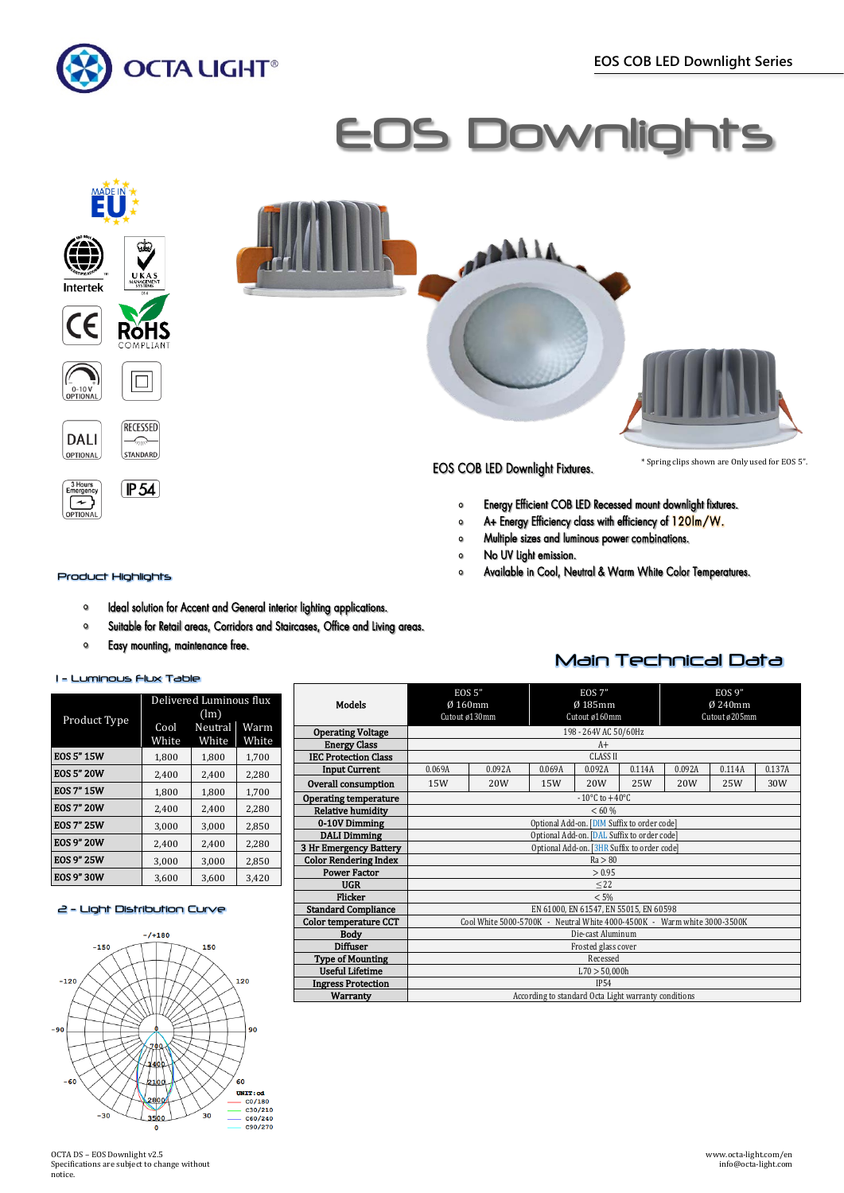









## Product Highlights

- Ideal solution for Accent and General interior lighting applications.  $\circ$
- $\mathbf{o}$ Suitable for Retail areas, Corridors and Staircases, Office and Living areas.
- Easy mounting, maintenance free.  $\mathbf{o}$

### 1 - Luminous Flux Table

|                   | Delivered Luminous flux |         |       |  |  |  |
|-------------------|-------------------------|---------|-------|--|--|--|
| Product Type      | (lm)                    |         |       |  |  |  |
|                   | Cool                    | Neutral | Warm  |  |  |  |
|                   | White                   | White   | White |  |  |  |
| <b>EOS 5" 15W</b> | 1,800                   | 1,800   | 1,700 |  |  |  |
| <b>EOS 5" 20W</b> | 2,400                   | 2,400   | 2,280 |  |  |  |
| <b>EOS 7" 15W</b> | 1,800                   | 1,800   | 1,700 |  |  |  |
| <b>EOS 7" 20W</b> | 2,400                   | 2,400   | 2,280 |  |  |  |
| <b>EOS 7" 25W</b> | 3,000                   | 3,000   | 2,850 |  |  |  |
| <b>EOS 9" 20W</b> | 2,400                   | 2,400   | 2,280 |  |  |  |
| <b>EOS 9" 25W</b> | 3,000                   | 3,000   | 2,850 |  |  |  |
| <b>EOS 9" 30W</b> | 3,600                   | 3,600   | 3,420 |  |  |  |

## 2 - Light Distribution Curve



OCTA DS – EOS Downlight v2.5 Specifications are subject to change without notice.



**EOS COB LED Downlight Fixtures.** 

**OPPALA** 

\* Spring clips shown are Only used for EOS 5".

- Energy Efficient COB LED Recessed mount downlight fixtures.  $\circ$
- A+ Energy Efficiency class with efficiency of 120lm/W.  $\circ$
- Multiple sizes and luminous power combinations.  $\circ$
- No UV Light emission.  $\circ$
- Available in Cool, Neutral & Warm White Color Temperatures.  $\circ$

| <b>Models</b>                | <b>EOS 5"</b><br>$Ø$ 160mm<br>Cutout ø130mm                              |        | <b>EOS 7"</b><br>$Ø$ 185mm<br>Cutout ø160mm |                 | <b>EOS 9"</b><br>Ø 240mm<br>Cutout ø205mm |        |        |        |
|------------------------------|--------------------------------------------------------------------------|--------|---------------------------------------------|-----------------|-------------------------------------------|--------|--------|--------|
| <b>Operating Voltage</b>     | 198 - 264V AC 50/60Hz                                                    |        |                                             |                 |                                           |        |        |        |
| <b>Energy Class</b>          | $A+$                                                                     |        |                                             |                 |                                           |        |        |        |
| <b>IEC Protection Class</b>  |                                                                          |        |                                             | <b>CLASS II</b> |                                           |        |        |        |
| <b>Input Current</b>         | 0.069A                                                                   | 0.092A | 0.069A                                      | 0.092A          | 0.114A                                    | 0.092A | 0.114A | 0.137A |
| Overall consumption          | 15W                                                                      | 20W    | 15W                                         | 20W             | 25W                                       | 20W    | 25W    | 30W    |
| Operating temperature        | $-10^{\circ}$ C to $+40^{\circ}$ C                                       |        |                                             |                 |                                           |        |        |        |
| <b>Relative humidity</b>     | < 60 %                                                                   |        |                                             |                 |                                           |        |        |        |
| 0-10V Dimming                | Optional Add-on. [DIM Suffix to order code]                              |        |                                             |                 |                                           |        |        |        |
| <b>DALI Dimming</b>          | Optional Add-on. [DAL Suffix to order code]                              |        |                                             |                 |                                           |        |        |        |
| 3 Hr Emergency Battery       | Optional Add-on. [3HR Suffix to order code]                              |        |                                             |                 |                                           |        |        |        |
| <b>Color Rendering Index</b> | Ra > 80                                                                  |        |                                             |                 |                                           |        |        |        |
| <b>Power Factor</b>          | > 0.95                                                                   |        |                                             |                 |                                           |        |        |        |
| UGR                          | $<$ 22                                                                   |        |                                             |                 |                                           |        |        |        |
| Flicker                      | < 5%                                                                     |        |                                             |                 |                                           |        |        |        |
| <b>Standard Compliance</b>   | EN 61000, EN 61547, EN 55015, EN 60598                                   |        |                                             |                 |                                           |        |        |        |
| Color temperature CCT        | Cool White 5000-5700K - Neutral White 4000-4500K - Warm white 3000-3500K |        |                                             |                 |                                           |        |        |        |
| <b>Body</b>                  | Die-cast Aluminum                                                        |        |                                             |                 |                                           |        |        |        |
| <b>Diffuser</b>              | Frosted glass cover                                                      |        |                                             |                 |                                           |        |        |        |
| <b>Type of Mounting</b>      | Recessed                                                                 |        |                                             |                 |                                           |        |        |        |
| <b>Useful Lifetime</b>       | L70 > 50,000h                                                            |        |                                             |                 |                                           |        |        |        |
| <b>Ingress Protection</b>    | <b>IP54</b>                                                              |        |                                             |                 |                                           |        |        |        |
| Warranty                     | According to standard Octa Light warranty conditions                     |        |                                             |                 |                                           |        |        |        |

## Main Technical Data